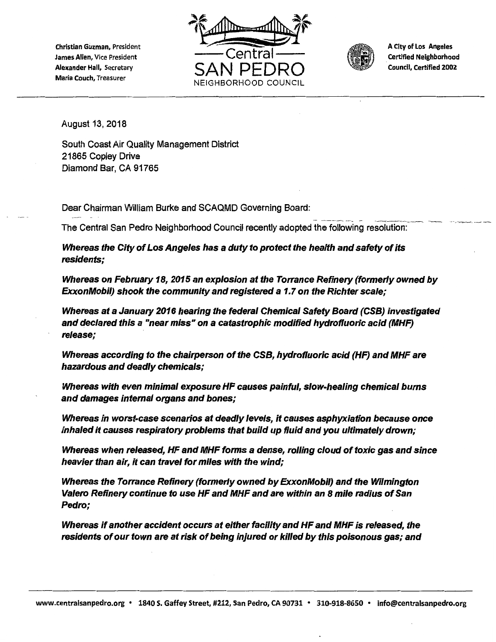Christian Guzman, President James Allen, Vice President Alexander Hall, Secretary Maria Couch, Treasurer





A City of Los Angeles . Certified Neighborhood Council, Certified 2002

August 13, 2018

South Coast Air Quality Management District 21865 Copley Drive Diamond Bar, CA 91765

Dear Chairman William Burke and SCAQMD Governing Board:

The Central San Pedro Neighborhood Council recently adopted the following resolution:

Whereas the City of Los Angeles has a duty to protect the health and safety of its residents;

Whereas on February 18, 2015 an explosion at the Torrance Refinery (formerly owned by ExxonMobil) shook the community and registered a 1.7 on the Richter scale;

Whereas at a January 2016 hearing the federal Chemical Safety Board (CSB) investigated and declared this a "near miss" on a catastrophic modified hydrofluoric acid (MHF) release;

Whereas according to the chairperson of the CSB, hydrofluoric acid (HF) and MHF are hazardous and deadly chemicals;

Whereas with even minimal exposure HF causes painful, slow-healing chemical burns and damages internal organs and bones;

Whereas in worst-case scenarios at deadly levels, it causes asphyxiation because once inhaled it causes respiratory problems that build up fluid and you ultimately drown;

Whereas when released, HF and MHF forms a dense, rolling cloud of toxic gas and since heavier than air, it can travel for miles with the wind;

Whereas the Torrance Refinery (formerly owned by ExxonMobil) and the Wilmington Valero Refinery continue to use HF and MHF and are within an 8 mile radius of San Pedro;

Whereas if another accident occurs at either facility and HF and MHF is released, the residents of our town are at risk of being injured or killed by this poisonous gas; and